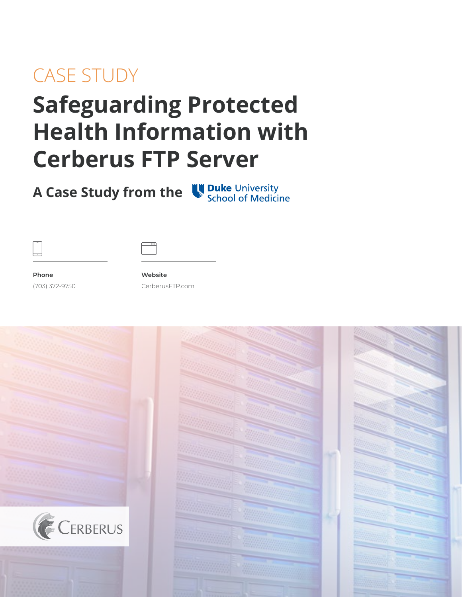## CASE STUDY

# **Safeguarding Protected Health Information with Cerberus FTP Server**

**A Case Study from the University School of Medicine** 



**Phone** (703) 372-9750

**Website** CerberusFTP.com

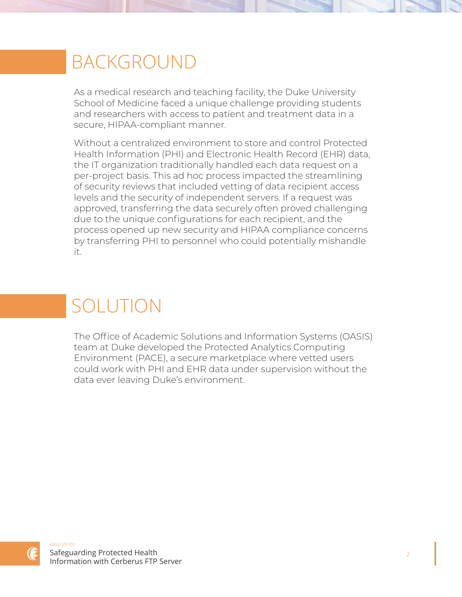### BACKGROUND

As a medical research and teaching facility, the Duke University School of Medicine faced a unique challenge providing students and researchers with access to patient and treatment data in a secure, HIPAA-compliant manner.

Without a centralized environment to store and control Protected Health Information (PHI) and Electronic Health Record (EHR) data, the IT organization traditionally handled each data request on a per-project basis. This ad hoc process impacted the streamlining of security reviews that included vetting of data recipient access levels and the security of independent servers. If a request was approved, transferring the data securely often proved challenging due to the unique configurations for each recipient, and the process opened up new security and HIPAA compliance concerns by transferring PHI to personnel who could potentially mishandle it.

## SOLUTION

The Office of Academic Solutions and Information Systems (OASIS) team at Duke developed the Protected Analytics Computing Environment (PACE), a secure marketplace where vetted users could work with PHI and EHR data under supervision without the data ever leaving Duke's environment.

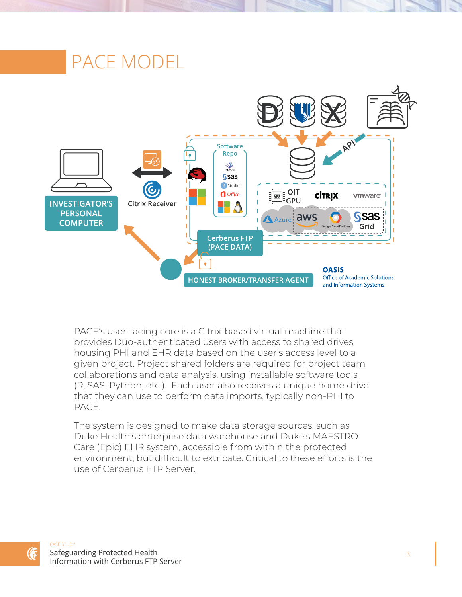

PACE's user-facing core is a Citrix-based virtual machine that provides Duo-authenticated users with access to shared drives housing PHI and EHR data based on the user's access level to a given project. Project shared folders are required for project team collaborations and data analysis, using installable software tools (R, SAS, Python, etc.). Each user also receives a unique home drive that they can use to perform data imports, typically non-PHI to PACE.

The system is designed to make data storage sources, such as Duke Health's enterprise data warehouse and Duke's MAESTRO Care (Epic) EHR system, accessible from within the protected environment, but difficult to extricate. Critical to these efforts is the use of Cerberus FTP Server.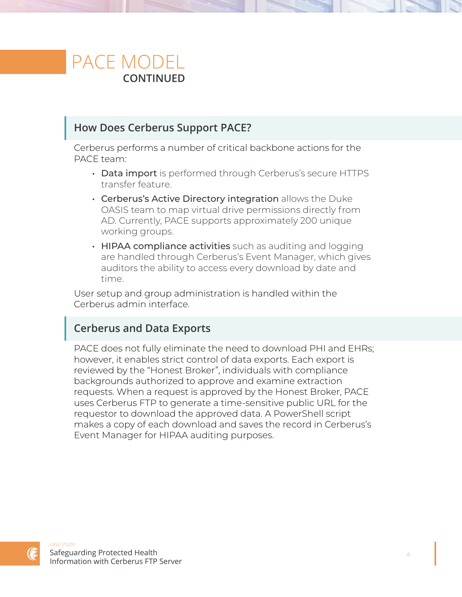### PACE MODEL **CONTINUED**

### **How Does Cerberus Support PACE?**

Cerberus performs a number of critical backbone actions for the PACE team:

- Data import is performed through Cerberus's secure HTTPS transfer feature.
- Cerberus's Active Directory integration allows the Duke OASIS team to map virtual drive permissions directly from AD. Currently, PACE supports approximately 200 unique working groups.
- HIPAA compliance activities such as auditing and logging are handled through Cerberus's Event Manager, which gives auditors the ability to access every download by date and time.

User setup and group administration is handled within the Cerberus admin interface.

### **Cerberus and Data Exports**

PACE does not fully eliminate the need to download PHI and EHRs; however, it enables strict control of data exports. Each export is reviewed by the "Honest Broker", individuals with compliance backgrounds authorized to approve and examine extraction requests. When a request is approved by the Honest Broker, PACE uses Cerberus FTP to generate a time-sensitive public URL for the requestor to download the approved data. A PowerShell script makes a copy of each download and saves the record in Cerberus's Event Manager for HIPAA auditing purposes.